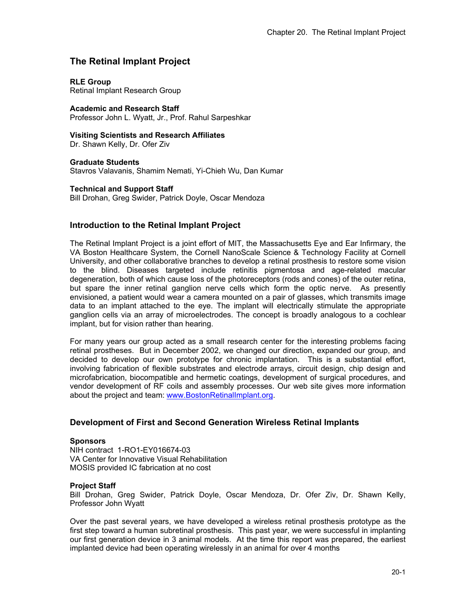# **The Retinal Implant Project**

### **RLE Group**

Retinal Implant Research Group

**Academic and Research Staff**  Professor John L. Wyatt, Jr., Prof. Rahul Sarpeshkar

**Visiting Scientists and Research Affiliates** 

Dr. Shawn Kelly, Dr. Ofer Ziv

**Graduate Students**  Stavros Valavanis, Shamim Nemati, Yi-Chieh Wu, Dan Kumar

### **Technical and Support Staff**

Bill Drohan, Greg Swider, Patrick Doyle, Oscar Mendoza

# **Introduction to the Retinal Implant Project**

The Retinal Implant Project is a joint effort of MIT, the Massachusetts Eye and Ear Infirmary, the VA Boston Healthcare System, the Cornell NanoScale Science & Technology Facility at Cornell University, and other collaborative branches to develop a retinal prosthesis to restore some vision to the blind. Diseases targeted include retinitis pigmentosa and age-related macular degeneration, both of which cause loss of the photoreceptors (rods and cones) of the outer retina, but spare the inner retinal ganglion nerve cells which form the optic nerve. As presently envisioned, a patient would wear a camera mounted on a pair of glasses, which transmits image data to an implant attached to the eye. The implant will electrically stimulate the appropriate ganglion cells via an array of microelectrodes. The concept is broadly analogous to a cochlear implant, but for vision rather than hearing.

For many years our group acted as a small research center for the interesting problems facing retinal prostheses. But in December 2002, we changed our direction, expanded our group, and decided to develop our own prototype for chronic implantation. This is a substantial effort, involving fabrication of flexible substrates and electrode arrays, circuit design, chip design and microfabrication, biocompatible and hermetic coatings, development of surgical procedures, and vendor development of RF coils and assembly processes. Our web site gives more information about the project and team: www.BostonRetinalImplant.org.

# **Development of First and Second Generation Wireless Retinal Implants**

#### **Sponsors**

NIH contract 1-RO1-EY016674-03 VA Center for Innovative Visual Rehabilitation MOSIS provided IC fabrication at no cost

### **Project Staff**

Bill Drohan, Greg Swider, Patrick Doyle, Oscar Mendoza, Dr. Ofer Ziv, Dr. Shawn Kelly, Professor John Wyatt

Over the past several years, we have developed a wireless retinal prosthesis prototype as the first step toward a human subretinal prosthesis. This past year, we were successful in implanting our first generation device in 3 animal models. At the time this report was prepared, the earliest implanted device had been operating wirelessly in an animal for over 4 months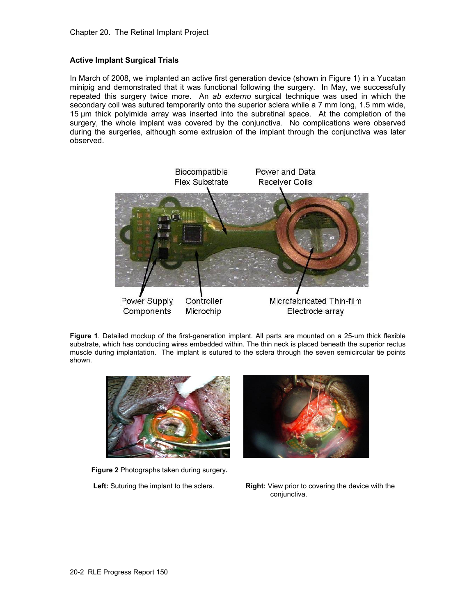### **Active Implant Surgical Trials**

In March of 2008, we implanted an active first generation device (shown in Figure 1) in a Yucatan minipig and demonstrated that it was functional following the surgery. In May, we successfully repeated this surgery twice more. An *ab externo* surgical technique was used in which the secondary coil was sutured temporarily onto the superior sclera while a 7 mm long, 1.5 mm wide, 15 µm thick polyimide array was inserted into the subretinal space. At the completion of the surgery, the whole implant was covered by the conjunctiva. No complications were observed during the surgeries, although some extrusion of the implant through the conjunctiva was later observed.



**Figure 1**. Detailed mockup of the first-generation implant. All parts are mounted on a 25-um thick flexible substrate, which has conducting wires embedded within. The thin neck is placed beneath the superior rectus muscle during implantation. The implant is sutured to the sclera through the seven semicircular tie points shown.



 **Figure 2** Photographs taken during surgery**.** 



 **Left:** Suturing the implant to the sclera. **Right:** View prior to covering the device with the conjunctiva.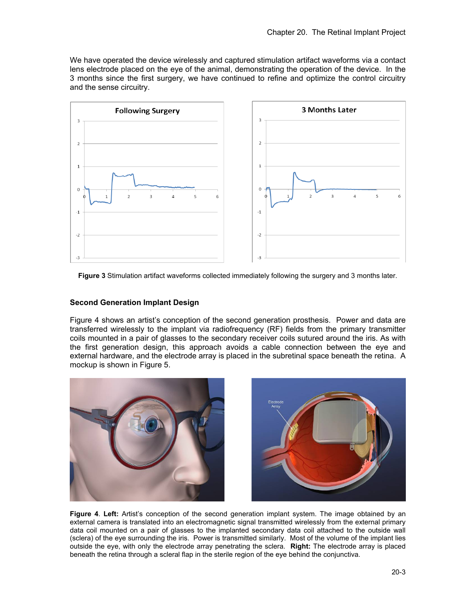We have operated the device wirelessly and captured stimulation artifact waveforms via a contact lens electrode placed on the eye of the animal, demonstrating the operation of the device. In the 3 months since the first surgery, we have continued to refine and optimize the control circuitry and the sense circuitry.



**Figure 3** Stimulation artifact waveforms collected immediately following the surgery and 3 months later.

#### **Second Generation Implant Design**

Figure 4 shows an artist's conception of the second generation prosthesis. Power and data are transferred wirelessly to the implant via radiofrequency (RF) fields from the primary transmitter coils mounted in a pair of glasses to the secondary receiver coils sutured around the iris. As with the first generation design, this approach avoids a cable connection between the eye and external hardware, and the electrode array is placed in the subretinal space beneath the retina. A mockup is shown in Figure 5.





**Figure 4**. **Left:** Artist's conception of the second generation implant system. The image obtained by an external camera is translated into an electromagnetic signal transmitted wirelessly from the external primary data coil mounted on a pair of glasses to the implanted secondary data coil attached to the outside wall (sclera) of the eye surrounding the iris. Power is transmitted similarly. Most of the volume of the implant lies outside the eye, with only the electrode array penetrating the sclera. **Right:** The electrode array is placed beneath the retina through a scleral flap in the sterile region of the eye behind the conjunctiva.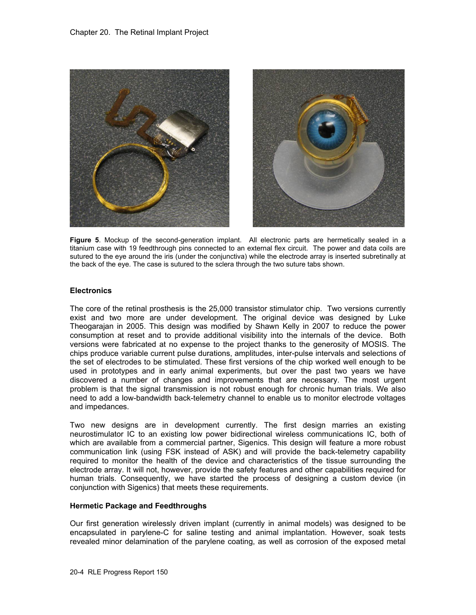

**Figure 5**. Mockup of the second-generation implant. All electronic parts are hermetically sealed in a titanium case with 19 feedthrough pins connected to an external flex circuit. The power and data coils are sutured to the eye around the iris (under the conjunctiva) while the electrode array is inserted subretinally at the back of the eye. The case is sutured to the sclera through the two suture tabs shown.

#### **Electronics**

The core of the retinal prosthesis is the 25,000 transistor stimulator chip. Two versions currently exist and two more are under development. The original device was designed by Luke Theogarajan in 2005. This design was modified by Shawn Kelly in 2007 to reduce the power consumption at reset and to provide additional visibility into the internals of the device. Both versions were fabricated at no expense to the project thanks to the generosity of MOSIS. The chips produce variable current pulse durations, amplitudes, inter-pulse intervals and selections of the set of electrodes to be stimulated. These first versions of the chip worked well enough to be used in prototypes and in early animal experiments, but over the past two years we have discovered a number of changes and improvements that are necessary. The most urgent problem is that the signal transmission is not robust enough for chronic human trials. We also need to add a low-bandwidth back-telemetry channel to enable us to monitor electrode voltages and impedances.

Two new designs are in development currently. The first design marries an existing neurostimulator IC to an existing low power bidirectional wireless communications IC, both of which are available from a commercial partner, Sigenics. This design will feature a more robust communication link (using FSK instead of ASK) and will provide the back-telemetry capability required to monitor the health of the device and characteristics of the tissue surrounding the electrode array. It will not, however, provide the safety features and other capabilities required for human trials. Consequently, we have started the process of designing a custom device (in conjunction with Sigenics) that meets these requirements.

#### **Hermetic Package and Feedthroughs**

Our first generation wirelessly driven implant (currently in animal models) was designed to be encapsulated in parylene-C for saline testing and animal implantation. However, soak tests revealed minor delamination of the parylene coating, as well as corrosion of the exposed metal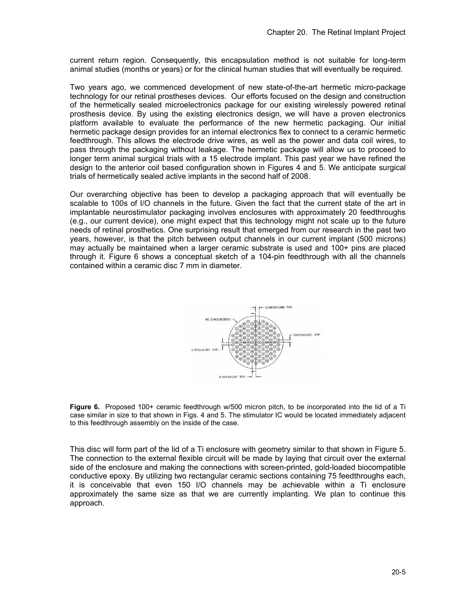current return region. Consequently, this encapsulation method is not suitable for long-term animal studies (months or years) or for the clinical human studies that will eventually be required.

Two years ago, we commenced development of new state-of-the-art hermetic micro-package technology for our retinal prostheses devices. Our efforts focused on the design and construction of the hermetically sealed microelectronics package for our existing wirelessly powered retinal prosthesis device. By using the existing electronics design, we will have a proven electronics platform available to evaluate the performance of the new hermetic packaging. Our initial hermetic package design provides for an internal electronics flex to connect to a ceramic hermetic feedthrough. This allows the electrode drive wires, as well as the power and data coil wires, to pass through the packaging without leakage. The hermetic package will allow us to proceed to longer term animal surgical trials with a 15 electrode implant. This past year we have refined the design to the anterior coil based configuration shown in Figures 4 and 5. We anticipate surgical trials of hermetically sealed active implants in the second half of 2008.

Our overarching objective has been to develop a packaging approach that will eventually be scalable to 100s of I/O channels in the future. Given the fact that the current state of the art in implantable neurostimulator packaging involves enclosures with approximately 20 feedthroughs (e.g., our current device), one might expect that this technology might not scale up to the future needs of retinal prosthetics. One surprising result that emerged from our research in the past two years, however, is that the pitch between output channels in our current implant (500 microns) may actually be maintained when a larger ceramic substrate is used and 100+ pins are placed through it. Figure 6 shows a conceptual sketch of a 104-pin feedthrough with all the channels contained within a ceramic disc 7 mm in diameter.



Figure 6. Proposed 100+ ceramic feedthrough w/500 micron pitch, to be incorporated into the lid of a Ti case similar in size to that shown in Figs. 4 and 5. The stimulator IC would be located immediately adjacent to this feedthrough assembly on the inside of the case.

This disc will form part of the lid of a Ti enclosure with geometry similar to that shown in Figure 5. The connection to the external flexible circuit will be made by laying that circuit over the external side of the enclosure and making the connections with screen-printed, gold-loaded biocompatible conductive epoxy. By utilizing two rectangular ceramic sections containing 75 feedthroughs each, it is conceivable that even 150 I/O channels may be achievable within a Ti enclosure approximately the same size as that we are currently implanting. We plan to continue this approach.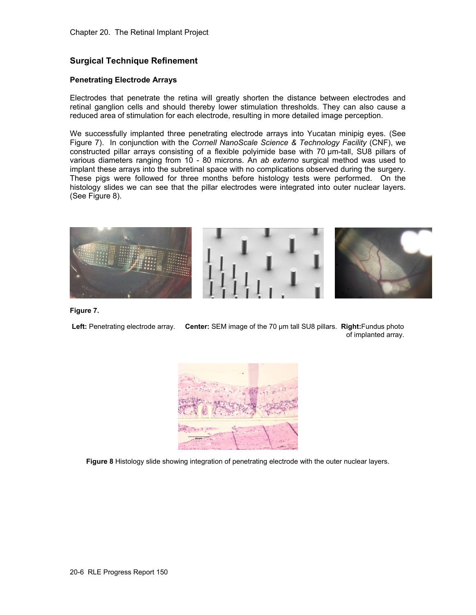# **Surgical Technique Refinement**

#### **Penetrating Electrode Arrays**

Electrodes that penetrate the retina will greatly shorten the distance between electrodes and retinal ganglion cells and should thereby lower stimulation thresholds. They can also cause a reduced area of stimulation for each electrode, resulting in more detailed image perception.

We successfully implanted three penetrating electrode arrays into Yucatan minipig eyes. (See Figure 7). In conjunction with the *Cornell NanoScale Science & Technology Facility* (CNF), we constructed pillar arrays consisting of a flexible polyimide base with 70 μm-tall, SU8 pillars of various diameters ranging from 10 - 80 microns. An *ab externo* surgical method was used to implant these arrays into the subretinal space with no complications observed during the surgery. These pigs were followed for three months before histology tests were performed. On the histology slides we can see that the pillar electrodes were integrated into outer nuclear layers. (See Figure 8).



**Figure 7.** 

**Left:** Penetrating electrode array. **Center:** SEM image of the 70 μm tall SU8 pillars. **Right:**Fundus photo of implanted array.



**Figure 8** Histology slide showing integration of penetrating electrode with the outer nuclear layers.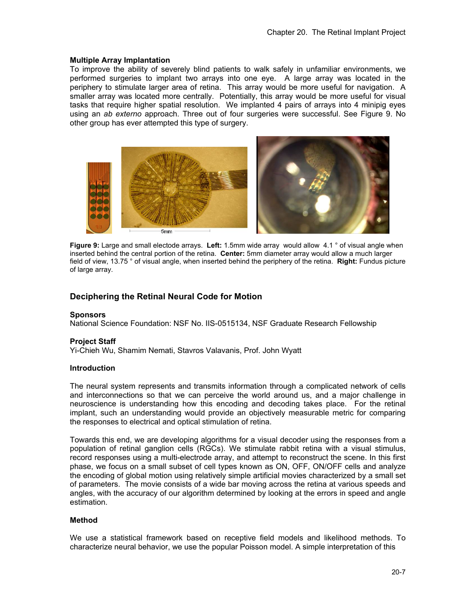#### **Multiple Array Implantation**

To improve the ability of severely blind patients to walk safely in unfamiliar environments, we performed surgeries to implant two arrays into one eye. A large array was located in the periphery to stimulate larger area of retina. This array would be more useful for navigation. A smaller array was located more centrally. Potentially, this array would be more useful for visual tasks that require higher spatial resolution. We implanted 4 pairs of arrays into 4 minipig eyes using an *ab externo* approach. Three out of four surgeries were successful. See Figure 9. No other group has ever attempted this type of surgery.



**Figure 9:** Large and small electode arrays. **Left:** 1.5mm wide array would allow 4.1 ° of visual angle when inserted behind the central portion of the retina. **Center:** 5mm diameter array would allow a much larger field of view, 13.75 ° of visual angle, when inserted behind the periphery of the retina. **Right:** Fundus picture of large array.

# **Deciphering the Retinal Neural Code for Motion**

#### **Sponsors**

National Science Foundation: NSF No. IIS-0515134, NSF Graduate Research Fellowship

#### **Project Staff**

Yi-Chieh Wu, Shamim Nemati, Stavros Valavanis, Prof. John Wyatt

#### **Introduction**

The neural system represents and transmits information through a complicated network of cells and interconnections so that we can perceive the world around us, and a major challenge in neuroscience is understanding how this encoding and decoding takes place. For the retinal implant, such an understanding would provide an objectively measurable metric for comparing the responses to electrical and optical stimulation of retina.

Towards this end, we are developing algorithms for a visual decoder using the responses from a population of retinal ganglion cells (RGCs). We stimulate rabbit retina with a visual stimulus, record responses using a multi-electrode array, and attempt to reconstruct the scene. In this first phase, we focus on a small subset of cell types known as ON, OFF, ON/OFF cells and analyze the encoding of global motion using relatively simple artificial movies characterized by a small set of parameters. The movie consists of a wide bar moving across the retina at various speeds and angles, with the accuracy of our algorithm determined by looking at the errors in speed and angle estimation.

#### **Method**

We use a statistical framework based on receptive field models and likelihood methods. To characterize neural behavior, we use the popular Poisson model. A simple interpretation of this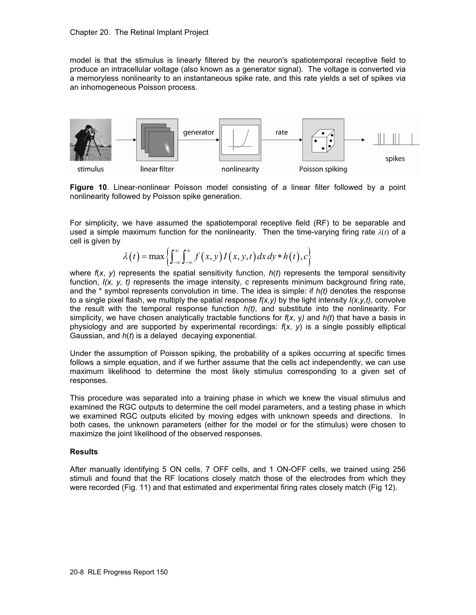model is that the stimulus is linearly filtered by the neuron's spatiotemporal receptive field to produce an intracellular voltage (also known as a generator signal). The voltage is converted via a memoryless nonlinearity to an instantaneous spike rate, and this rate yields a set of spikes via an inhomogeneous Poisson process.



**Figure 10**. Linear-nonlinear Poisson model consisting of a linear filter followed by a point nonlinearity followed by Poisson spike generation.

For simplicity, we have assumed the spatiotemporal receptive field (RF) to be separable and used a simple maximum function for the nonlinearity. Then the time-varying firing rate *λ*(*t*) of a cell is given by

$$
\lambda(t) = \max \left\{ \int_{-\infty}^{\infty} \int_{-\infty}^{\infty} f(x, y) I(x, y, t) dx dy * h(t), c \right\}
$$

where  $f(x, y)$  represents the spatial sensitivity function,  $h(t)$  represents the temporal sensitivity function,  $I(x, y, t)$  represents the image intensity, *c* represents minimum background firing rate, and the \* symbol represents convolution in time. The idea is simple: if *h(t)* denotes the response to a single pixel flash, we multiply the spatial response *f(x,y)* by the light intensity *I(x,y,t)*, convolve the result with the temporal response function *h(t)*, and substitute into the nonlinearity. For simplicity, we have chosen analytically tractable functions for *f*(*x*, y*)* and *h(t*) that have a basis in physiology and are supported by experimental recordings: *f*(*x*, *y*) is a single possibly elliptical Gaussian, and *h*(*t*) is a delayed decaying exponential.

Under the assumption of Poisson spiking, the probability of a spikes occurring at specific times follows a simple equation, and if we further assume that the cells act independently, we can use maximum likelihood to determine the most likely stimulus corresponding to a given set of responses.

This procedure was separated into a training phase in which we knew the visual stimulus and examined the RGC outputs to determine the cell model parameters, and a testing phase in which we examined RGC outputs elicited by moving edges with unknown speeds and directions. In both cases, the unknown parameters (either for the model or for the stimulus) were chosen to maximize the joint likelihood of the observed responses.

### **Results**

After manually identifying 5 ON cells, 7 OFF cells, and 1 ON-OFF cells, we trained using 256 stimuli and found that the RF locations closely match those of the electrodes from which they were recorded (Fig. 11) and that estimated and experimental firing rates closely match (Fig 12).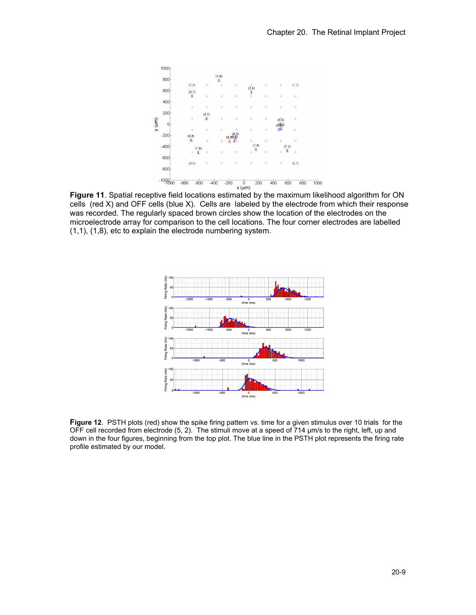

**Figure 11**. Spatial receptive field locations estimated by the maximum likelihood algorithm for ON cells (red X) and OFF cells (blue X). Cells are labeled by the electrode from which their response was recorded. The regularly spaced brown circles show the location of the electrodes on the microelectrode array for comparison to the cell locations. The four corner electrodes are labelled (1,1), (1,8), etc to explain the electrode numbering system.



**Figure 12**. PSTH plots (red) show the spike firing pattern vs. time for a given stimulus over 10 trials for the OFF cell recorded from electrode (5, 2). The stimuli move at a speed of 714 μm/s to the right, left, up and down in the four figures, beginning from the top plot. The blue line in the PSTH plot represents the firing rate profile estimated by our model.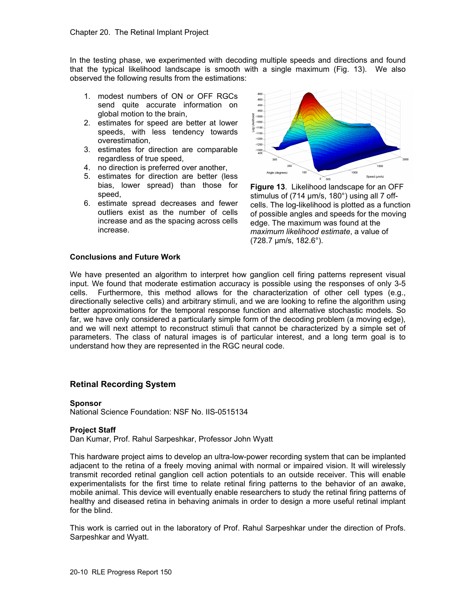In the testing phase, we experimented with decoding multiple speeds and directions and found that the typical likelihood landscape is smooth with a single maximum (Fig. 13). We also observed the following results from the estimations:

- 1. modest numbers of ON or OFF RGCs send quite accurate information on global motion to the brain,
- 2. estimates for speed are better at lower speeds, with less tendency towards overestimation,
- 3. estimates for direction are comparable regardless of true speed,
- 4. no direction is preferred over another,
- 5. estimates for direction are better (less bias, lower spread) than those for speed,
- 6. estimate spread decreases and fewer outliers exist as the number of cells increase and as the spacing across cells increase.



**Figure 13**. Likelihood landscape for an OFF stimulus of (714 μm/s, 180°) using all 7 offcells. The log-likelihood is plotted as a function of possible angles and speeds for the moving edge. The maximum was found at the *maximum likelihood estimate*, a value of (728.7 μm/s, 182.6°).

## **Conclusions and Future Work**

We have presented an algorithm to interpret how ganglion cell firing patterns represent visual input. We found that moderate estimation accuracy is possible using the responses of only 3-5 cells. Furthermore, this method allows for the characterization of other cell types (e.g., directionally selective cells) and arbitrary stimuli, and we are looking to refine the algorithm using better approximations for the temporal response function and alternative stochastic models. So far, we have only considered a particularly simple form of the decoding problem (a moving edge), and we will next attempt to reconstruct stimuli that cannot be characterized by a simple set of parameters. The class of natural images is of particular interest, and a long term goal is to understand how they are represented in the RGC neural code.

### **Retinal Recording System**

#### **Sponsor**

National Science Foundation: NSF No. IIS-0515134

### **Project Staff**

Dan Kumar, Prof. Rahul Sarpeshkar, Professor John Wyatt

This hardware project aims to develop an ultra-low-power recording system that can be implanted adjacent to the retina of a freely moving animal with normal or impaired vision. It will wirelessly transmit recorded retinal ganglion cell action potentials to an outside receiver. This will enable experimentalists for the first time to relate retinal firing patterns to the behavior of an awake, mobile animal. This device will eventually enable researchers to study the retinal firing patterns of healthy and diseased retina in behaving animals in order to design a more useful retinal implant for the blind.

This work is carried out in the laboratory of Prof. Rahul Sarpeshkar under the direction of Profs. Sarpeshkar and Wyatt.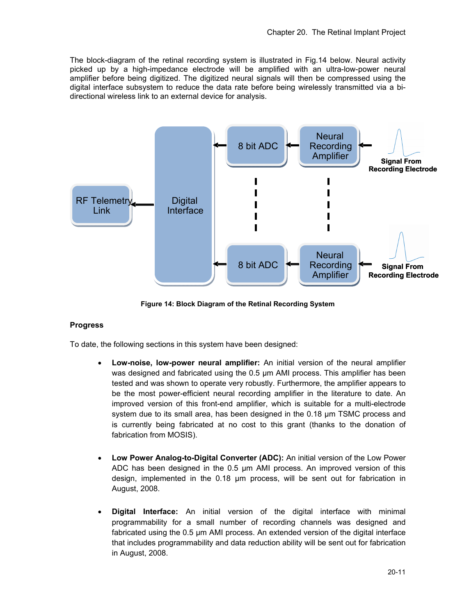The block-diagram of the retinal recording system is illustrated in Fig.14 below. Neural activity picked up by a high-impedance electrode will be amplified with an ultra-low-power neural amplifier before being digitized. The digitized neural signals will then be compressed using the digital interface subsystem to reduce the data rate before being wirelessly transmitted via a bidirectional wireless link to an external device for analysis.



**Figure 14: Block Diagram of the Retinal Recording System** 

### **Progress**

To date, the following sections in this system have been designed:

- **Low-noise, low-power neural amplifier:** An initial version of the neural amplifier was designed and fabricated using the 0.5 µm AMI process. This amplifier has been tested and was shown to operate very robustly. Furthermore, the amplifier appears to be the most power-efficient neural recording amplifier in the literature to date. An improved version of this front-end amplifier, which is suitable for a multi-electrode system due to its small area, has been designed in the 0.18 µm TSMC process and is currently being fabricated at no cost to this grant (thanks to the donation of fabrication from MOSIS).
- **Low Power Analog-to-Digital Converter (ADC):** An initial version of the Low Power ADC has been designed in the 0.5 µm AMI process. An improved version of this design, implemented in the 0.18 µm process, will be sent out for fabrication in August, 2008.
- **Digital Interface:** An initial version of the digital interface with minimal programmability for a small number of recording channels was designed and fabricated using the 0.5 µm AMI process. An extended version of the digital interface that includes programmability and data reduction ability will be sent out for fabrication in August, 2008.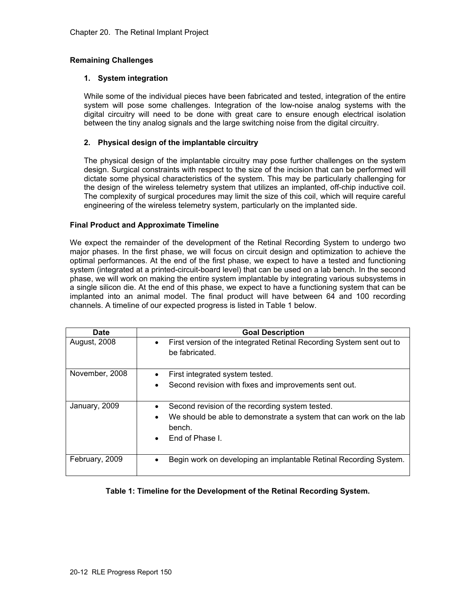# **Remaining Challenges**

### **1. System integration**

While some of the individual pieces have been fabricated and tested, integration of the entire system will pose some challenges. Integration of the low-noise analog systems with the digital circuitry will need to be done with great care to ensure enough electrical isolation between the tiny analog signals and the large switching noise from the digital circuitry.

### **2. Physical design of the implantable circuitry**

The physical design of the implantable circuitry may pose further challenges on the system design. Surgical constraints with respect to the size of the incision that can be performed will dictate some physical characteristics of the system. This may be particularly challenging for the design of the wireless telemetry system that utilizes an implanted, off-chip inductive coil. The complexity of surgical procedures may limit the size of this coil, which will require careful engineering of the wireless telemetry system, particularly on the implanted side.

#### **Final Product and Approximate Timeline**

We expect the remainder of the development of the Retinal Recording System to undergo two major phases. In the first phase, we will focus on circuit design and optimization to achieve the optimal performances. At the end of the first phase, we expect to have a tested and functioning system (integrated at a printed-circuit-board level) that can be used on a lab bench. In the second phase, we will work on making the entire system implantable by integrating various subsystems in a single silicon die. At the end of this phase, we expect to have a functioning system that can be implanted into an animal model. The final product will have between 64 and 100 recording channels. A timeline of our expected progress is listed in Table 1 below.

| Date                | <b>Goal Description</b>                                                                             |
|---------------------|-----------------------------------------------------------------------------------------------------|
| <b>August, 2008</b> | First version of the integrated Retinal Recording System sent out to<br>$\bullet$<br>be fabricated. |
| November, 2008      | First integrated system tested.                                                                     |
|                     | Second revision with fixes and improvements sent out.                                               |
| January, 2009       | Second revision of the recording system tested.                                                     |
|                     | We should be able to demonstrate a system that can work on the lab<br>$\bullet$<br>bench.           |
|                     | End of Phase L                                                                                      |
| February, 2009      | Begin work on developing an implantable Retinal Recording System.                                   |

### **Table 1: Timeline for the Development of the Retinal Recording System.**